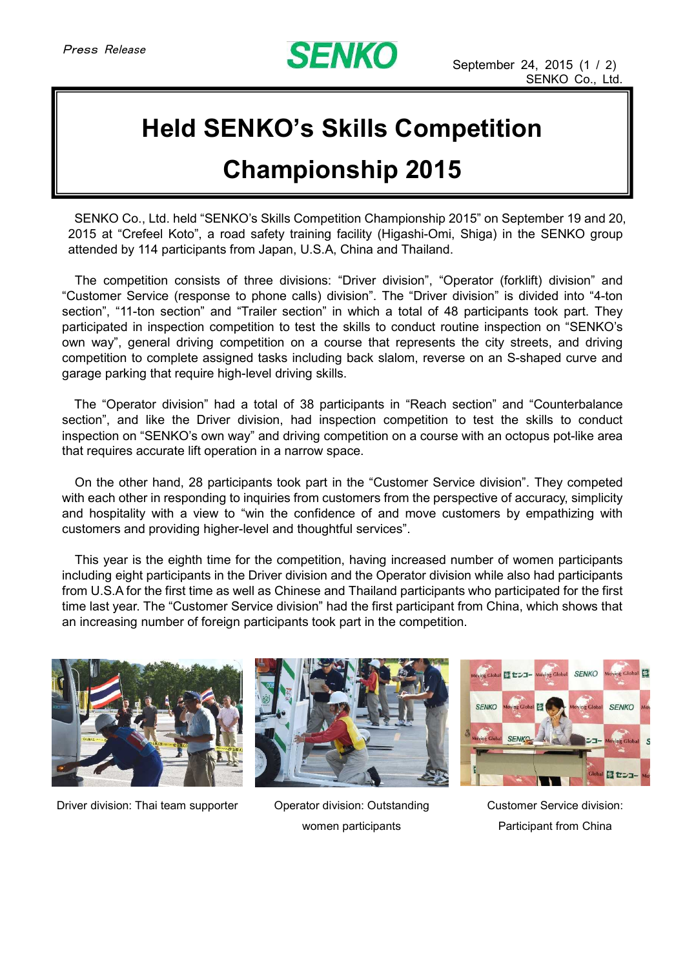

## **Held SENKO's Skills Competition**

## **Championship 2015**

SENKO Co., Ltd. held "SENKO's Skills Competition Championship 2015" on September 19 and 20, 2015 at "Crefeel Koto", a road safety training facility (Higashi-Omi, Shiga) in the SENKO group attended by 114 participants from Japan, U.S.A, China and Thailand.

The competition consists of three divisions: "Driver division", "Operator (forklift) division" and "Customer Service (response to phone calls) division". The "Driver division" is divided into "4-ton section", "11-ton section" and "Trailer section" in which a total of 48 participants took part. They participated in inspection competition to test the skills to conduct routine inspection on "SENKO's own way", general driving competition on a course that represents the city streets, and driving competition to complete assigned tasks including back slalom, reverse on an S-shaped curve and garage parking that require high-level driving skills.

The "Operator division" had a total of 38 participants in "Reach section" and "Counterbalance section", and like the Driver division, had inspection competition to test the skills to conduct inspection on "SENKO's own way" and driving competition on a course with an octopus pot-like area that requires accurate lift operation in a narrow space.

On the other hand, 28 participants took part in the "Customer Service division". They competed with each other in responding to inquiries from customers from the perspective of accuracy, simplicity and hospitality with a view to "win the confidence of and move customers by empathizing with customers and providing higher-level and thoughtful services".

This year is the eighth time for the competition, having increased number of women participants including eight participants in the Driver division and the Operator division while also had participants from U.S.A for the first time as well as Chinese and Thailand participants who participated for the first time last year. The "Customer Service division" had the first participant from China, which shows that an increasing number of foreign participants took part in the competition.



Driver division: Thai team supporter Operator division: Outstanding







Customer Service division: Participant from China